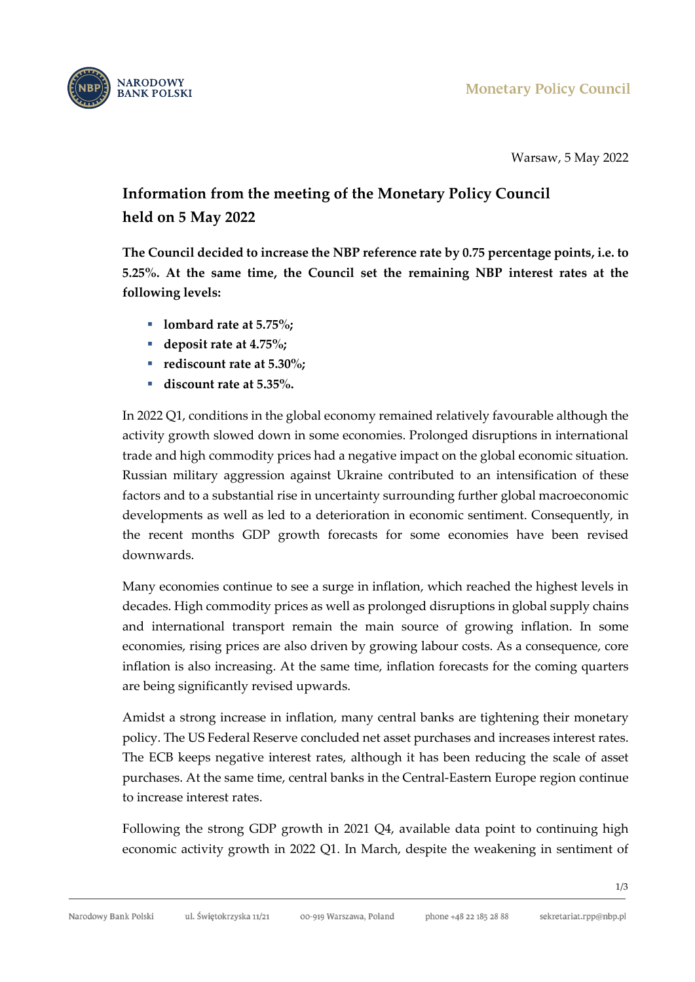

Warsaw, 5 May 2022

## **Information from the meeting of the Monetary Policy Council held on 5 May 2022**

**The Council decided to increase the NBP reference rate by 0.75 percentage points, i.e. to 5.25%. At the same time, the Council set the remaining NBP interest rates at the following levels:**

- **lombard** rate at 5.75%;
- deposit rate at 4.75%;
- **rediscount rate at 5.30%:**
- **discount rate at 5.35%.**

In 2022 Q1, conditions in the global economy remained relatively favourable although the activity growth slowed down in some economies. Prolonged disruptions in international trade and high commodity prices had a negative impact on the global economic situation. Russian military aggression against Ukraine contributed to an intensification of these factors and to a substantial rise in uncertainty surrounding further global macroeconomic developments as well as led to a deterioration in economic sentiment. Consequently, in the recent months GDP growth forecasts for some economies have been revised downwards.

Many economies continue to see a surge in inflation, which reached the highest levels in decades. High commodity prices as well as prolonged disruptions in global supply chains and international transport remain the main source of growing inflation. In some economies, rising prices are also driven by growing labour costs. As a consequence, core inflation is also increasing. At the same time, inflation forecasts for the coming quarters are being significantly revised upwards.

Amidst a strong increase in inflation, many central banks are tightening their monetary policy. The US Federal Reserve concluded net asset purchases and increases interest rates. The ECB keeps negative interest rates, although it has been reducing the scale of asset purchases. At the same time, central banks in the Central-Eastern Europe region continue to increase interest rates.

Following the strong GDP growth in 2021 Q4, available data point to continuing high economic activity growth in 2022 Q1. In March, despite the weakening in sentiment of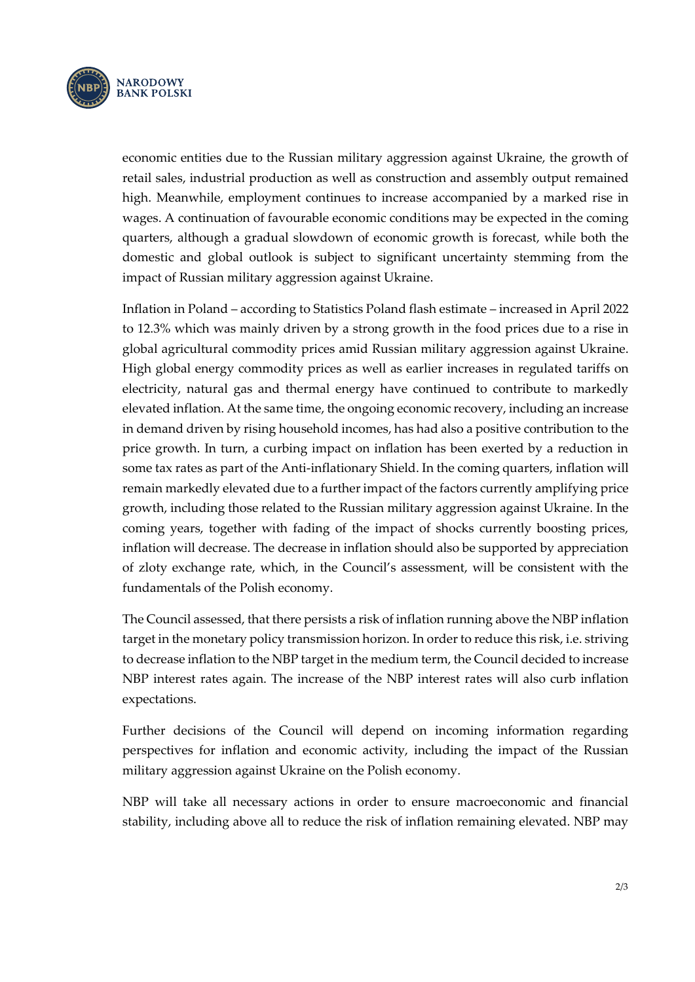

economic entities due to the Russian military aggression against Ukraine, the growth of retail sales, industrial production as well as construction and assembly output remained high. Meanwhile, employment continues to increase accompanied by a marked rise in wages. A continuation of favourable economic conditions may be expected in the coming quarters, although a gradual slowdown of economic growth is forecast, while both the domestic and global outlook is subject to significant uncertainty stemming from the impact of Russian military aggression against Ukraine.

Inflation in Poland – according to Statistics Poland flash estimate – increased in April 2022 to 12.3% which was mainly driven by a strong growth in the food prices due to a rise in global agricultural commodity prices amid Russian military aggression against Ukraine. High global energy commodity prices as well as earlier increases in regulated tariffs on electricity, natural gas and thermal energy have continued to contribute to markedly elevated inflation. At the same time, the ongoing economic recovery, including an increase in demand driven by rising household incomes, has had also a positive contribution to the price growth. In turn, a curbing impact on inflation has been exerted by a reduction in some tax rates as part of the Anti-inflationary Shield. In the coming quarters, inflation will remain markedly elevated due to a further impact of the factors currently amplifying price growth, including those related to the Russian military aggression against Ukraine. In the coming years, together with fading of the impact of shocks currently boosting prices, inflation will decrease. The decrease in inflation should also be supported by appreciation of zloty exchange rate, which, in the Council's assessment, will be consistent with the fundamentals of the Polish economy.

The Council assessed, that there persists a risk of inflation running above the NBP inflation target in the monetary policy transmission horizon. In order to reduce this risk, i.e. striving to decrease inflation to the NBP target in the medium term, the Council decided to increase NBP interest rates again. The increase of the NBP interest rates will also curb inflation expectations.

Further decisions of the Council will depend on incoming information regarding perspectives for inflation and economic activity, including the impact of the Russian military aggression against Ukraine on the Polish economy.

NBP will take all necessary actions in order to ensure macroeconomic and financial stability, including above all to reduce the risk of inflation remaining elevated. NBP may